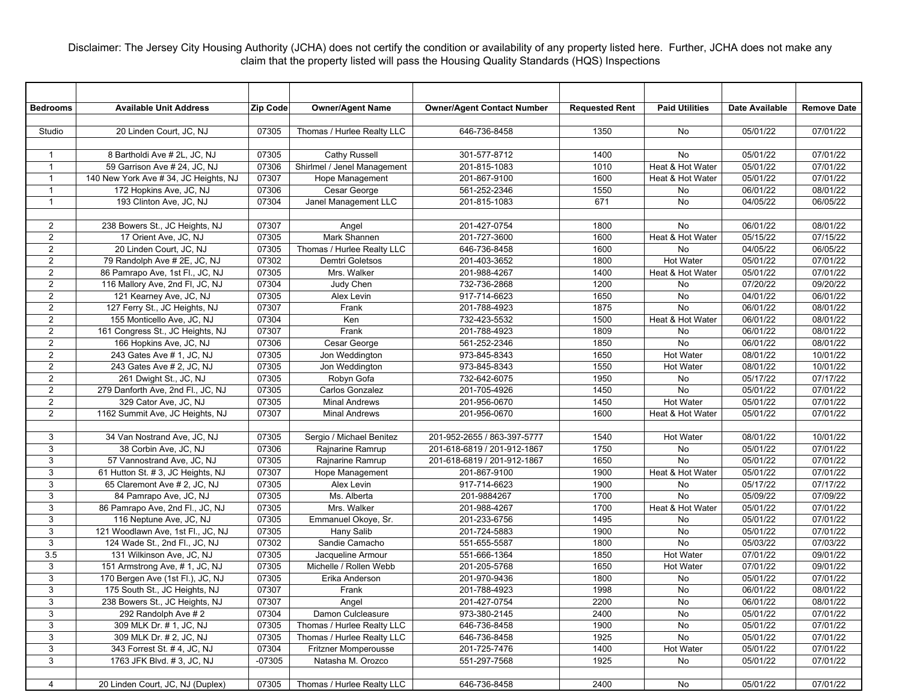Disclaimer: The Jersey City Housing Authority (JCHA) does not certify the condition or availability of any property listed here. Further, JCHA does not make any claim that the property listed will pass the Housing Quality Standards (HQS) Inspections

| <b>Bedrooms</b><br><b>Zip Code</b><br><b>Owner/Agent Name</b><br><b>Paid Utilities</b><br><b>Available Unit Address</b><br><b>Owner/Agent Contact Number</b><br><b>Requested Rent</b><br>Date Available<br><b>Remove Date</b><br>20 Linden Court, JC, NJ<br>07305<br>Thomas / Hurlee Realty LLC<br>646-736-8458<br>05/01/22<br>07/01/22<br>Studio<br>1350<br>No<br>07305<br>No<br>8 Bartholdi Ave # 2L, JC, NJ<br><b>Cathy Russell</b><br>301-577-8712<br>1400<br>05/01/22<br>07/01/22<br>$\mathbf{1}$<br>07306<br>Shirlmel / Jenel Management<br>201-815-1083<br>1010<br>Heat & Hot Water<br>05/01/22<br>07/01/22<br>$\mathbf{1}$<br>59 Garrison Ave # 24, JC, NJ<br>Hope Management<br>07/01/22<br>$\overline{1}$<br>140 New York Ave # 34, JC Heights, NJ<br>07307<br>201-867-9100<br>1600<br>Heat & Hot Water<br>05/01/22<br>07306<br>Cesar George<br>561-252-2346<br>$\mathbf{1}$<br>172 Hopkins Ave, JC, NJ<br>1550<br>06/01/22<br>08/01/22<br>No<br>07304<br>Janel Management LLC<br>$\overline{1}$<br>193 Clinton Ave, JC, NJ<br>201-815-1083<br>671<br>No<br>04/05/22<br>06/05/22<br>$\overline{2}$<br>238 Bowers St., JC Heights, NJ<br>07307<br>Angel<br>201-427-0754<br>No<br>1800<br>06/01/22<br>08/01/22<br>$\overline{2}$<br>Mark Shannen<br>07305<br>201-727-3600<br>1600<br>Heat & Hot Water<br>05/15/22<br>07/15/22<br>17 Orient Ave, JC, NJ<br>$\overline{2}$<br>07305<br>Thomas / Hurlee Realty LLC<br>04/05/22<br>06/05/22<br>20 Linden Court, JC, NJ<br>646-736-8458<br>1600<br>No<br>2<br>07302<br>07/01/22<br>79 Randolph Ave # 2E, JC, NJ<br>Demtri Goletsos<br>201-403-3652<br><b>Hot Water</b><br>05/01/22<br>1800<br>$\overline{2}$<br>05/01/22<br>07/01/22<br>86 Pamrapo Ave, 1st Fl., JC, NJ<br>07305<br>Mrs. Walker<br>201-988-4267<br>1400<br>Heat & Hot Water<br>2<br>07304<br>732-736-2868<br>07/20/22<br>09/20/22<br>116 Mallory Ave, 2nd Fl, JC, NJ<br>Judy Chen<br>1200<br>No<br>$\overline{2}$<br>07305<br>06/01/22<br>121 Kearney Ave, JC, NJ<br>Alex Levin<br>917-714-6623<br>1650<br>No<br>04/01/22<br>$\overline{2}$<br>07307<br>1875<br>No<br>06/01/22<br>08/01/22<br>127 Ferry St., JC Heights, NJ<br>Frank<br>201-788-4923<br>$\overline{2}$<br>07304<br>Ken<br>155 Monticello Ave, JC, NJ<br>732-423-5532<br>1500<br>Heat & Hot Water<br>06/01/22<br>08/01/22<br>$\overline{2}$<br>07307<br>Frank<br>161 Congress St., JC Heights, NJ<br>201-788-4923<br>1809<br>06/01/22<br>08/01/22<br>No<br>2<br>07306<br>No<br>06/01/22<br>08/01/22<br>166 Hopkins Ave, JC, NJ<br>Cesar George<br>561-252-2346<br>1850<br>$\overline{2}$<br>07305<br>973-845-8343<br>1650<br>08/01/22<br>10/01/22<br>243 Gates Ave # 1, JC, NJ<br>Jon Weddington<br><b>Hot Water</b><br>2<br>07305<br>973-845-8343<br>08/01/22<br>10/01/22<br>243 Gates Ave # 2, JC, NJ<br>Jon Weddington<br>1550<br><b>Hot Water</b><br>$\overline{2}$<br>07305<br>05/17/22<br>07/17/22<br>261 Dwight St., JC, NJ<br>Robyn Gofa<br>732-642-6075<br>1950<br>No<br>$\overline{2}$<br>Carlos Gonzalez<br>1450<br>No<br>05/01/22<br>07/01/22<br>279 Danforth Ave, 2nd Fl., JC, NJ<br>07305<br>201-705-4926<br>$\overline{2}$<br>07305<br>1450<br>Hot Water<br>05/01/22<br>329 Cator Ave, JC, NJ<br><b>Minal Andrews</b><br>201-956-0670<br>07/01/22<br>2<br>1162 Summit Ave, JC Heights, NJ<br>07307<br>201-956-0670<br>1600<br>05/01/22<br>07/01/22<br><b>Minal Andrews</b><br>Heat & Hot Water<br>34 Van Nostrand Ave, JC, NJ<br>07305<br>Sergio / Michael Benitez<br>3<br>201-952-2655 / 863-397-5777<br>1540<br>Hot Water<br>08/01/22<br>10/01/22<br>3<br>07306<br>Rajnarine Ramrup<br>1750<br>05/01/22<br>07/01/22<br>38 Corbin Ave, JC, NJ<br>201-618-6819 / 201-912-1867<br>No<br>3<br>07305<br>Rajnarine Ramrup<br>1650<br>05/01/22<br>07/01/22<br>57 Vannostrand Ave, JC, NJ<br>201-618-6819 / 201-912-1867<br>No<br>$\mathbf{3}$<br>05/01/22<br>07/01/22<br>61 Hutton St. # 3, JC Heights, NJ<br>07307<br>Hope Management<br>201-867-9100<br>1900<br>Heat & Hot Water<br>$\mathbf{3}$<br>07305<br>05/17/22<br>65 Claremont Ave # 2, JC, NJ<br>Alex Levin<br>917-714-6623<br>1900<br>No<br>07/17/22<br>3<br>07305<br>No<br>05/09/22<br>07/09/22<br>84 Pamrapo Ave, JC, NJ<br>Ms. Alberta<br>201-9884267<br>1700<br>3<br>07305<br>Mrs. Walker<br>07/01/22<br>86 Pamrapo Ave, 2nd Fl., JC, NJ<br>201-988-4267<br>1700<br>Heat & Hot Water<br>05/01/22<br>3<br>116 Neptune Ave, JC, NJ<br>07305<br>Emmanuel Okoye, Sr.<br>201-233-6756<br>1495<br>05/01/22<br>07/01/22<br>No<br>3<br>07305<br>05/01/22<br>121 Woodlawn Ave, 1st Fl., JC, NJ<br>Hany Salib<br>201-724-5883<br>1900<br>No<br>07/01/22<br>3<br>07302<br>05/03/22<br>07/03/22<br>124 Wade St., 2nd Fl., JC, NJ<br>Sandie Camacho<br>551-655-5587<br>1800<br>No<br>3.5<br>07305<br>551-666-1364<br>1850<br>Hot Water<br>07/01/22<br>09/01/22<br>131 Wilkinson Ave, JC, NJ<br>Jacqueline Armour<br>$\mathbf{3}$<br>07305<br>201-205-5768<br>1650<br>07/01/22<br>09/01/22<br>151 Armstrong Ave, #1, JC, NJ<br>Michelle / Rollen Webb<br><b>Hot Water</b><br>$\ensuremath{\mathsf{3}}$<br>07305<br>201-970-9436<br>1800<br>05/01/22<br>07/01/22<br>170 Bergen Ave (1st Fl.), JC, NJ<br>No<br>Erika Anderson |  |  |  |  |  |
|--------------------------------------------------------------------------------------------------------------------------------------------------------------------------------------------------------------------------------------------------------------------------------------------------------------------------------------------------------------------------------------------------------------------------------------------------------------------------------------------------------------------------------------------------------------------------------------------------------------------------------------------------------------------------------------------------------------------------------------------------------------------------------------------------------------------------------------------------------------------------------------------------------------------------------------------------------------------------------------------------------------------------------------------------------------------------------------------------------------------------------------------------------------------------------------------------------------------------------------------------------------------------------------------------------------------------------------------------------------------------------------------------------------------------------------------------------------------------------------------------------------------------------------------------------------------------------------------------------------------------------------------------------------------------------------------------------------------------------------------------------------------------------------------------------------------------------------------------------------------------------------------------------------------------------------------------------------------------------------------------------------------------------------------------------------------------------------------------------------------------------------------------------------------------------------------------------------------------------------------------------------------------------------------------------------------------------------------------------------------------------------------------------------------------------------------------------------------------------------------------------------------------------------------------------------------------------------------------------------------------------------------------------------------------------------------------------------------------------------------------------------------------------------------------------------------------------------------------------------------------------------------------------------------------------------------------------------------------------------------------------------------------------------------------------------------------------------------------------------------------------------------------------------------------------------------------------------------------------------------------------------------------------------------------------------------------------------------------------------------------------------------------------------------------------------------------------------------------------------------------------------------------------------------------------------------------------------------------------------------------------------------------------------------------------------------------------------------------------------------------------------------------------------------------------------------------------------------------------------------------------------------------------------------------------------------------------------------------------------------------------------------------------------------------------------------------------------------------------------------------------------------------------------------------------------------------------------------------------------------------------------------------------------------------------------------------------------------------------------------------------------------------------------------------------------------------------------------------------------------------------------------------------------------------------------------------------------------------------------------------------------------------------------------------------------------------------------------------------------------------------------------------------------------------------------------------------------------------------------------------------------------------------------------------------------------------------------------------------------------------------------------------------------------------------------------------------------------------------------------------------------------------------------------------|--|--|--|--|--|
|                                                                                                                                                                                                                                                                                                                                                                                                                                                                                                                                                                                                                                                                                                                                                                                                                                                                                                                                                                                                                                                                                                                                                                                                                                                                                                                                                                                                                                                                                                                                                                                                                                                                                                                                                                                                                                                                                                                                                                                                                                                                                                                                                                                                                                                                                                                                                                                                                                                                                                                                                                                                                                                                                                                                                                                                                                                                                                                                                                                                                                                                                                                                                                                                                                                                                                                                                                                                                                                                                                                                                                                                                                                                                                                                                                                                                                                                                                                                                                                                                                                                                                                                                                                                                                                                                                                                                                                                                                                                                                                                                                                                                                                                                                                                                                                                                                                                                                                                                                                                                                                                                                                                                                          |  |  |  |  |  |
|                                                                                                                                                                                                                                                                                                                                                                                                                                                                                                                                                                                                                                                                                                                                                                                                                                                                                                                                                                                                                                                                                                                                                                                                                                                                                                                                                                                                                                                                                                                                                                                                                                                                                                                                                                                                                                                                                                                                                                                                                                                                                                                                                                                                                                                                                                                                                                                                                                                                                                                                                                                                                                                                                                                                                                                                                                                                                                                                                                                                                                                                                                                                                                                                                                                                                                                                                                                                                                                                                                                                                                                                                                                                                                                                                                                                                                                                                                                                                                                                                                                                                                                                                                                                                                                                                                                                                                                                                                                                                                                                                                                                                                                                                                                                                                                                                                                                                                                                                                                                                                                                                                                                                                          |  |  |  |  |  |
|                                                                                                                                                                                                                                                                                                                                                                                                                                                                                                                                                                                                                                                                                                                                                                                                                                                                                                                                                                                                                                                                                                                                                                                                                                                                                                                                                                                                                                                                                                                                                                                                                                                                                                                                                                                                                                                                                                                                                                                                                                                                                                                                                                                                                                                                                                                                                                                                                                                                                                                                                                                                                                                                                                                                                                                                                                                                                                                                                                                                                                                                                                                                                                                                                                                                                                                                                                                                                                                                                                                                                                                                                                                                                                                                                                                                                                                                                                                                                                                                                                                                                                                                                                                                                                                                                                                                                                                                                                                                                                                                                                                                                                                                                                                                                                                                                                                                                                                                                                                                                                                                                                                                                                          |  |  |  |  |  |
|                                                                                                                                                                                                                                                                                                                                                                                                                                                                                                                                                                                                                                                                                                                                                                                                                                                                                                                                                                                                                                                                                                                                                                                                                                                                                                                                                                                                                                                                                                                                                                                                                                                                                                                                                                                                                                                                                                                                                                                                                                                                                                                                                                                                                                                                                                                                                                                                                                                                                                                                                                                                                                                                                                                                                                                                                                                                                                                                                                                                                                                                                                                                                                                                                                                                                                                                                                                                                                                                                                                                                                                                                                                                                                                                                                                                                                                                                                                                                                                                                                                                                                                                                                                                                                                                                                                                                                                                                                                                                                                                                                                                                                                                                                                                                                                                                                                                                                                                                                                                                                                                                                                                                                          |  |  |  |  |  |
|                                                                                                                                                                                                                                                                                                                                                                                                                                                                                                                                                                                                                                                                                                                                                                                                                                                                                                                                                                                                                                                                                                                                                                                                                                                                                                                                                                                                                                                                                                                                                                                                                                                                                                                                                                                                                                                                                                                                                                                                                                                                                                                                                                                                                                                                                                                                                                                                                                                                                                                                                                                                                                                                                                                                                                                                                                                                                                                                                                                                                                                                                                                                                                                                                                                                                                                                                                                                                                                                                                                                                                                                                                                                                                                                                                                                                                                                                                                                                                                                                                                                                                                                                                                                                                                                                                                                                                                                                                                                                                                                                                                                                                                                                                                                                                                                                                                                                                                                                                                                                                                                                                                                                                          |  |  |  |  |  |
|                                                                                                                                                                                                                                                                                                                                                                                                                                                                                                                                                                                                                                                                                                                                                                                                                                                                                                                                                                                                                                                                                                                                                                                                                                                                                                                                                                                                                                                                                                                                                                                                                                                                                                                                                                                                                                                                                                                                                                                                                                                                                                                                                                                                                                                                                                                                                                                                                                                                                                                                                                                                                                                                                                                                                                                                                                                                                                                                                                                                                                                                                                                                                                                                                                                                                                                                                                                                                                                                                                                                                                                                                                                                                                                                                                                                                                                                                                                                                                                                                                                                                                                                                                                                                                                                                                                                                                                                                                                                                                                                                                                                                                                                                                                                                                                                                                                                                                                                                                                                                                                                                                                                                                          |  |  |  |  |  |
|                                                                                                                                                                                                                                                                                                                                                                                                                                                                                                                                                                                                                                                                                                                                                                                                                                                                                                                                                                                                                                                                                                                                                                                                                                                                                                                                                                                                                                                                                                                                                                                                                                                                                                                                                                                                                                                                                                                                                                                                                                                                                                                                                                                                                                                                                                                                                                                                                                                                                                                                                                                                                                                                                                                                                                                                                                                                                                                                                                                                                                                                                                                                                                                                                                                                                                                                                                                                                                                                                                                                                                                                                                                                                                                                                                                                                                                                                                                                                                                                                                                                                                                                                                                                                                                                                                                                                                                                                                                                                                                                                                                                                                                                                                                                                                                                                                                                                                                                                                                                                                                                                                                                                                          |  |  |  |  |  |
|                                                                                                                                                                                                                                                                                                                                                                                                                                                                                                                                                                                                                                                                                                                                                                                                                                                                                                                                                                                                                                                                                                                                                                                                                                                                                                                                                                                                                                                                                                                                                                                                                                                                                                                                                                                                                                                                                                                                                                                                                                                                                                                                                                                                                                                                                                                                                                                                                                                                                                                                                                                                                                                                                                                                                                                                                                                                                                                                                                                                                                                                                                                                                                                                                                                                                                                                                                                                                                                                                                                                                                                                                                                                                                                                                                                                                                                                                                                                                                                                                                                                                                                                                                                                                                                                                                                                                                                                                                                                                                                                                                                                                                                                                                                                                                                                                                                                                                                                                                                                                                                                                                                                                                          |  |  |  |  |  |
|                                                                                                                                                                                                                                                                                                                                                                                                                                                                                                                                                                                                                                                                                                                                                                                                                                                                                                                                                                                                                                                                                                                                                                                                                                                                                                                                                                                                                                                                                                                                                                                                                                                                                                                                                                                                                                                                                                                                                                                                                                                                                                                                                                                                                                                                                                                                                                                                                                                                                                                                                                                                                                                                                                                                                                                                                                                                                                                                                                                                                                                                                                                                                                                                                                                                                                                                                                                                                                                                                                                                                                                                                                                                                                                                                                                                                                                                                                                                                                                                                                                                                                                                                                                                                                                                                                                                                                                                                                                                                                                                                                                                                                                                                                                                                                                                                                                                                                                                                                                                                                                                                                                                                                          |  |  |  |  |  |
|                                                                                                                                                                                                                                                                                                                                                                                                                                                                                                                                                                                                                                                                                                                                                                                                                                                                                                                                                                                                                                                                                                                                                                                                                                                                                                                                                                                                                                                                                                                                                                                                                                                                                                                                                                                                                                                                                                                                                                                                                                                                                                                                                                                                                                                                                                                                                                                                                                                                                                                                                                                                                                                                                                                                                                                                                                                                                                                                                                                                                                                                                                                                                                                                                                                                                                                                                                                                                                                                                                                                                                                                                                                                                                                                                                                                                                                                                                                                                                                                                                                                                                                                                                                                                                                                                                                                                                                                                                                                                                                                                                                                                                                                                                                                                                                                                                                                                                                                                                                                                                                                                                                                                                          |  |  |  |  |  |
|                                                                                                                                                                                                                                                                                                                                                                                                                                                                                                                                                                                                                                                                                                                                                                                                                                                                                                                                                                                                                                                                                                                                                                                                                                                                                                                                                                                                                                                                                                                                                                                                                                                                                                                                                                                                                                                                                                                                                                                                                                                                                                                                                                                                                                                                                                                                                                                                                                                                                                                                                                                                                                                                                                                                                                                                                                                                                                                                                                                                                                                                                                                                                                                                                                                                                                                                                                                                                                                                                                                                                                                                                                                                                                                                                                                                                                                                                                                                                                                                                                                                                                                                                                                                                                                                                                                                                                                                                                                                                                                                                                                                                                                                                                                                                                                                                                                                                                                                                                                                                                                                                                                                                                          |  |  |  |  |  |
|                                                                                                                                                                                                                                                                                                                                                                                                                                                                                                                                                                                                                                                                                                                                                                                                                                                                                                                                                                                                                                                                                                                                                                                                                                                                                                                                                                                                                                                                                                                                                                                                                                                                                                                                                                                                                                                                                                                                                                                                                                                                                                                                                                                                                                                                                                                                                                                                                                                                                                                                                                                                                                                                                                                                                                                                                                                                                                                                                                                                                                                                                                                                                                                                                                                                                                                                                                                                                                                                                                                                                                                                                                                                                                                                                                                                                                                                                                                                                                                                                                                                                                                                                                                                                                                                                                                                                                                                                                                                                                                                                                                                                                                                                                                                                                                                                                                                                                                                                                                                                                                                                                                                                                          |  |  |  |  |  |
|                                                                                                                                                                                                                                                                                                                                                                                                                                                                                                                                                                                                                                                                                                                                                                                                                                                                                                                                                                                                                                                                                                                                                                                                                                                                                                                                                                                                                                                                                                                                                                                                                                                                                                                                                                                                                                                                                                                                                                                                                                                                                                                                                                                                                                                                                                                                                                                                                                                                                                                                                                                                                                                                                                                                                                                                                                                                                                                                                                                                                                                                                                                                                                                                                                                                                                                                                                                                                                                                                                                                                                                                                                                                                                                                                                                                                                                                                                                                                                                                                                                                                                                                                                                                                                                                                                                                                                                                                                                                                                                                                                                                                                                                                                                                                                                                                                                                                                                                                                                                                                                                                                                                                                          |  |  |  |  |  |
|                                                                                                                                                                                                                                                                                                                                                                                                                                                                                                                                                                                                                                                                                                                                                                                                                                                                                                                                                                                                                                                                                                                                                                                                                                                                                                                                                                                                                                                                                                                                                                                                                                                                                                                                                                                                                                                                                                                                                                                                                                                                                                                                                                                                                                                                                                                                                                                                                                                                                                                                                                                                                                                                                                                                                                                                                                                                                                                                                                                                                                                                                                                                                                                                                                                                                                                                                                                                                                                                                                                                                                                                                                                                                                                                                                                                                                                                                                                                                                                                                                                                                                                                                                                                                                                                                                                                                                                                                                                                                                                                                                                                                                                                                                                                                                                                                                                                                                                                                                                                                                                                                                                                                                          |  |  |  |  |  |
|                                                                                                                                                                                                                                                                                                                                                                                                                                                                                                                                                                                                                                                                                                                                                                                                                                                                                                                                                                                                                                                                                                                                                                                                                                                                                                                                                                                                                                                                                                                                                                                                                                                                                                                                                                                                                                                                                                                                                                                                                                                                                                                                                                                                                                                                                                                                                                                                                                                                                                                                                                                                                                                                                                                                                                                                                                                                                                                                                                                                                                                                                                                                                                                                                                                                                                                                                                                                                                                                                                                                                                                                                                                                                                                                                                                                                                                                                                                                                                                                                                                                                                                                                                                                                                                                                                                                                                                                                                                                                                                                                                                                                                                                                                                                                                                                                                                                                                                                                                                                                                                                                                                                                                          |  |  |  |  |  |
|                                                                                                                                                                                                                                                                                                                                                                                                                                                                                                                                                                                                                                                                                                                                                                                                                                                                                                                                                                                                                                                                                                                                                                                                                                                                                                                                                                                                                                                                                                                                                                                                                                                                                                                                                                                                                                                                                                                                                                                                                                                                                                                                                                                                                                                                                                                                                                                                                                                                                                                                                                                                                                                                                                                                                                                                                                                                                                                                                                                                                                                                                                                                                                                                                                                                                                                                                                                                                                                                                                                                                                                                                                                                                                                                                                                                                                                                                                                                                                                                                                                                                                                                                                                                                                                                                                                                                                                                                                                                                                                                                                                                                                                                                                                                                                                                                                                                                                                                                                                                                                                                                                                                                                          |  |  |  |  |  |
|                                                                                                                                                                                                                                                                                                                                                                                                                                                                                                                                                                                                                                                                                                                                                                                                                                                                                                                                                                                                                                                                                                                                                                                                                                                                                                                                                                                                                                                                                                                                                                                                                                                                                                                                                                                                                                                                                                                                                                                                                                                                                                                                                                                                                                                                                                                                                                                                                                                                                                                                                                                                                                                                                                                                                                                                                                                                                                                                                                                                                                                                                                                                                                                                                                                                                                                                                                                                                                                                                                                                                                                                                                                                                                                                                                                                                                                                                                                                                                                                                                                                                                                                                                                                                                                                                                                                                                                                                                                                                                                                                                                                                                                                                                                                                                                                                                                                                                                                                                                                                                                                                                                                                                          |  |  |  |  |  |
|                                                                                                                                                                                                                                                                                                                                                                                                                                                                                                                                                                                                                                                                                                                                                                                                                                                                                                                                                                                                                                                                                                                                                                                                                                                                                                                                                                                                                                                                                                                                                                                                                                                                                                                                                                                                                                                                                                                                                                                                                                                                                                                                                                                                                                                                                                                                                                                                                                                                                                                                                                                                                                                                                                                                                                                                                                                                                                                                                                                                                                                                                                                                                                                                                                                                                                                                                                                                                                                                                                                                                                                                                                                                                                                                                                                                                                                                                                                                                                                                                                                                                                                                                                                                                                                                                                                                                                                                                                                                                                                                                                                                                                                                                                                                                                                                                                                                                                                                                                                                                                                                                                                                                                          |  |  |  |  |  |
|                                                                                                                                                                                                                                                                                                                                                                                                                                                                                                                                                                                                                                                                                                                                                                                                                                                                                                                                                                                                                                                                                                                                                                                                                                                                                                                                                                                                                                                                                                                                                                                                                                                                                                                                                                                                                                                                                                                                                                                                                                                                                                                                                                                                                                                                                                                                                                                                                                                                                                                                                                                                                                                                                                                                                                                                                                                                                                                                                                                                                                                                                                                                                                                                                                                                                                                                                                                                                                                                                                                                                                                                                                                                                                                                                                                                                                                                                                                                                                                                                                                                                                                                                                                                                                                                                                                                                                                                                                                                                                                                                                                                                                                                                                                                                                                                                                                                                                                                                                                                                                                                                                                                                                          |  |  |  |  |  |
|                                                                                                                                                                                                                                                                                                                                                                                                                                                                                                                                                                                                                                                                                                                                                                                                                                                                                                                                                                                                                                                                                                                                                                                                                                                                                                                                                                                                                                                                                                                                                                                                                                                                                                                                                                                                                                                                                                                                                                                                                                                                                                                                                                                                                                                                                                                                                                                                                                                                                                                                                                                                                                                                                                                                                                                                                                                                                                                                                                                                                                                                                                                                                                                                                                                                                                                                                                                                                                                                                                                                                                                                                                                                                                                                                                                                                                                                                                                                                                                                                                                                                                                                                                                                                                                                                                                                                                                                                                                                                                                                                                                                                                                                                                                                                                                                                                                                                                                                                                                                                                                                                                                                                                          |  |  |  |  |  |
|                                                                                                                                                                                                                                                                                                                                                                                                                                                                                                                                                                                                                                                                                                                                                                                                                                                                                                                                                                                                                                                                                                                                                                                                                                                                                                                                                                                                                                                                                                                                                                                                                                                                                                                                                                                                                                                                                                                                                                                                                                                                                                                                                                                                                                                                                                                                                                                                                                                                                                                                                                                                                                                                                                                                                                                                                                                                                                                                                                                                                                                                                                                                                                                                                                                                                                                                                                                                                                                                                                                                                                                                                                                                                                                                                                                                                                                                                                                                                                                                                                                                                                                                                                                                                                                                                                                                                                                                                                                                                                                                                                                                                                                                                                                                                                                                                                                                                                                                                                                                                                                                                                                                                                          |  |  |  |  |  |
|                                                                                                                                                                                                                                                                                                                                                                                                                                                                                                                                                                                                                                                                                                                                                                                                                                                                                                                                                                                                                                                                                                                                                                                                                                                                                                                                                                                                                                                                                                                                                                                                                                                                                                                                                                                                                                                                                                                                                                                                                                                                                                                                                                                                                                                                                                                                                                                                                                                                                                                                                                                                                                                                                                                                                                                                                                                                                                                                                                                                                                                                                                                                                                                                                                                                                                                                                                                                                                                                                                                                                                                                                                                                                                                                                                                                                                                                                                                                                                                                                                                                                                                                                                                                                                                                                                                                                                                                                                                                                                                                                                                                                                                                                                                                                                                                                                                                                                                                                                                                                                                                                                                                                                          |  |  |  |  |  |
|                                                                                                                                                                                                                                                                                                                                                                                                                                                                                                                                                                                                                                                                                                                                                                                                                                                                                                                                                                                                                                                                                                                                                                                                                                                                                                                                                                                                                                                                                                                                                                                                                                                                                                                                                                                                                                                                                                                                                                                                                                                                                                                                                                                                                                                                                                                                                                                                                                                                                                                                                                                                                                                                                                                                                                                                                                                                                                                                                                                                                                                                                                                                                                                                                                                                                                                                                                                                                                                                                                                                                                                                                                                                                                                                                                                                                                                                                                                                                                                                                                                                                                                                                                                                                                                                                                                                                                                                                                                                                                                                                                                                                                                                                                                                                                                                                                                                                                                                                                                                                                                                                                                                                                          |  |  |  |  |  |
|                                                                                                                                                                                                                                                                                                                                                                                                                                                                                                                                                                                                                                                                                                                                                                                                                                                                                                                                                                                                                                                                                                                                                                                                                                                                                                                                                                                                                                                                                                                                                                                                                                                                                                                                                                                                                                                                                                                                                                                                                                                                                                                                                                                                                                                                                                                                                                                                                                                                                                                                                                                                                                                                                                                                                                                                                                                                                                                                                                                                                                                                                                                                                                                                                                                                                                                                                                                                                                                                                                                                                                                                                                                                                                                                                                                                                                                                                                                                                                                                                                                                                                                                                                                                                                                                                                                                                                                                                                                                                                                                                                                                                                                                                                                                                                                                                                                                                                                                                                                                                                                                                                                                                                          |  |  |  |  |  |
|                                                                                                                                                                                                                                                                                                                                                                                                                                                                                                                                                                                                                                                                                                                                                                                                                                                                                                                                                                                                                                                                                                                                                                                                                                                                                                                                                                                                                                                                                                                                                                                                                                                                                                                                                                                                                                                                                                                                                                                                                                                                                                                                                                                                                                                                                                                                                                                                                                                                                                                                                                                                                                                                                                                                                                                                                                                                                                                                                                                                                                                                                                                                                                                                                                                                                                                                                                                                                                                                                                                                                                                                                                                                                                                                                                                                                                                                                                                                                                                                                                                                                                                                                                                                                                                                                                                                                                                                                                                                                                                                                                                                                                                                                                                                                                                                                                                                                                                                                                                                                                                                                                                                                                          |  |  |  |  |  |
|                                                                                                                                                                                                                                                                                                                                                                                                                                                                                                                                                                                                                                                                                                                                                                                                                                                                                                                                                                                                                                                                                                                                                                                                                                                                                                                                                                                                                                                                                                                                                                                                                                                                                                                                                                                                                                                                                                                                                                                                                                                                                                                                                                                                                                                                                                                                                                                                                                                                                                                                                                                                                                                                                                                                                                                                                                                                                                                                                                                                                                                                                                                                                                                                                                                                                                                                                                                                                                                                                                                                                                                                                                                                                                                                                                                                                                                                                                                                                                                                                                                                                                                                                                                                                                                                                                                                                                                                                                                                                                                                                                                                                                                                                                                                                                                                                                                                                                                                                                                                                                                                                                                                                                          |  |  |  |  |  |
|                                                                                                                                                                                                                                                                                                                                                                                                                                                                                                                                                                                                                                                                                                                                                                                                                                                                                                                                                                                                                                                                                                                                                                                                                                                                                                                                                                                                                                                                                                                                                                                                                                                                                                                                                                                                                                                                                                                                                                                                                                                                                                                                                                                                                                                                                                                                                                                                                                                                                                                                                                                                                                                                                                                                                                                                                                                                                                                                                                                                                                                                                                                                                                                                                                                                                                                                                                                                                                                                                                                                                                                                                                                                                                                                                                                                                                                                                                                                                                                                                                                                                                                                                                                                                                                                                                                                                                                                                                                                                                                                                                                                                                                                                                                                                                                                                                                                                                                                                                                                                                                                                                                                                                          |  |  |  |  |  |
|                                                                                                                                                                                                                                                                                                                                                                                                                                                                                                                                                                                                                                                                                                                                                                                                                                                                                                                                                                                                                                                                                                                                                                                                                                                                                                                                                                                                                                                                                                                                                                                                                                                                                                                                                                                                                                                                                                                                                                                                                                                                                                                                                                                                                                                                                                                                                                                                                                                                                                                                                                                                                                                                                                                                                                                                                                                                                                                                                                                                                                                                                                                                                                                                                                                                                                                                                                                                                                                                                                                                                                                                                                                                                                                                                                                                                                                                                                                                                                                                                                                                                                                                                                                                                                                                                                                                                                                                                                                                                                                                                                                                                                                                                                                                                                                                                                                                                                                                                                                                                                                                                                                                                                          |  |  |  |  |  |
|                                                                                                                                                                                                                                                                                                                                                                                                                                                                                                                                                                                                                                                                                                                                                                                                                                                                                                                                                                                                                                                                                                                                                                                                                                                                                                                                                                                                                                                                                                                                                                                                                                                                                                                                                                                                                                                                                                                                                                                                                                                                                                                                                                                                                                                                                                                                                                                                                                                                                                                                                                                                                                                                                                                                                                                                                                                                                                                                                                                                                                                                                                                                                                                                                                                                                                                                                                                                                                                                                                                                                                                                                                                                                                                                                                                                                                                                                                                                                                                                                                                                                                                                                                                                                                                                                                                                                                                                                                                                                                                                                                                                                                                                                                                                                                                                                                                                                                                                                                                                                                                                                                                                                                          |  |  |  |  |  |
|                                                                                                                                                                                                                                                                                                                                                                                                                                                                                                                                                                                                                                                                                                                                                                                                                                                                                                                                                                                                                                                                                                                                                                                                                                                                                                                                                                                                                                                                                                                                                                                                                                                                                                                                                                                                                                                                                                                                                                                                                                                                                                                                                                                                                                                                                                                                                                                                                                                                                                                                                                                                                                                                                                                                                                                                                                                                                                                                                                                                                                                                                                                                                                                                                                                                                                                                                                                                                                                                                                                                                                                                                                                                                                                                                                                                                                                                                                                                                                                                                                                                                                                                                                                                                                                                                                                                                                                                                                                                                                                                                                                                                                                                                                                                                                                                                                                                                                                                                                                                                                                                                                                                                                          |  |  |  |  |  |
|                                                                                                                                                                                                                                                                                                                                                                                                                                                                                                                                                                                                                                                                                                                                                                                                                                                                                                                                                                                                                                                                                                                                                                                                                                                                                                                                                                                                                                                                                                                                                                                                                                                                                                                                                                                                                                                                                                                                                                                                                                                                                                                                                                                                                                                                                                                                                                                                                                                                                                                                                                                                                                                                                                                                                                                                                                                                                                                                                                                                                                                                                                                                                                                                                                                                                                                                                                                                                                                                                                                                                                                                                                                                                                                                                                                                                                                                                                                                                                                                                                                                                                                                                                                                                                                                                                                                                                                                                                                                                                                                                                                                                                                                                                                                                                                                                                                                                                                                                                                                                                                                                                                                                                          |  |  |  |  |  |
|                                                                                                                                                                                                                                                                                                                                                                                                                                                                                                                                                                                                                                                                                                                                                                                                                                                                                                                                                                                                                                                                                                                                                                                                                                                                                                                                                                                                                                                                                                                                                                                                                                                                                                                                                                                                                                                                                                                                                                                                                                                                                                                                                                                                                                                                                                                                                                                                                                                                                                                                                                                                                                                                                                                                                                                                                                                                                                                                                                                                                                                                                                                                                                                                                                                                                                                                                                                                                                                                                                                                                                                                                                                                                                                                                                                                                                                                                                                                                                                                                                                                                                                                                                                                                                                                                                                                                                                                                                                                                                                                                                                                                                                                                                                                                                                                                                                                                                                                                                                                                                                                                                                                                                          |  |  |  |  |  |
|                                                                                                                                                                                                                                                                                                                                                                                                                                                                                                                                                                                                                                                                                                                                                                                                                                                                                                                                                                                                                                                                                                                                                                                                                                                                                                                                                                                                                                                                                                                                                                                                                                                                                                                                                                                                                                                                                                                                                                                                                                                                                                                                                                                                                                                                                                                                                                                                                                                                                                                                                                                                                                                                                                                                                                                                                                                                                                                                                                                                                                                                                                                                                                                                                                                                                                                                                                                                                                                                                                                                                                                                                                                                                                                                                                                                                                                                                                                                                                                                                                                                                                                                                                                                                                                                                                                                                                                                                                                                                                                                                                                                                                                                                                                                                                                                                                                                                                                                                                                                                                                                                                                                                                          |  |  |  |  |  |
|                                                                                                                                                                                                                                                                                                                                                                                                                                                                                                                                                                                                                                                                                                                                                                                                                                                                                                                                                                                                                                                                                                                                                                                                                                                                                                                                                                                                                                                                                                                                                                                                                                                                                                                                                                                                                                                                                                                                                                                                                                                                                                                                                                                                                                                                                                                                                                                                                                                                                                                                                                                                                                                                                                                                                                                                                                                                                                                                                                                                                                                                                                                                                                                                                                                                                                                                                                                                                                                                                                                                                                                                                                                                                                                                                                                                                                                                                                                                                                                                                                                                                                                                                                                                                                                                                                                                                                                                                                                                                                                                                                                                                                                                                                                                                                                                                                                                                                                                                                                                                                                                                                                                                                          |  |  |  |  |  |
|                                                                                                                                                                                                                                                                                                                                                                                                                                                                                                                                                                                                                                                                                                                                                                                                                                                                                                                                                                                                                                                                                                                                                                                                                                                                                                                                                                                                                                                                                                                                                                                                                                                                                                                                                                                                                                                                                                                                                                                                                                                                                                                                                                                                                                                                                                                                                                                                                                                                                                                                                                                                                                                                                                                                                                                                                                                                                                                                                                                                                                                                                                                                                                                                                                                                                                                                                                                                                                                                                                                                                                                                                                                                                                                                                                                                                                                                                                                                                                                                                                                                                                                                                                                                                                                                                                                                                                                                                                                                                                                                                                                                                                                                                                                                                                                                                                                                                                                                                                                                                                                                                                                                                                          |  |  |  |  |  |
|                                                                                                                                                                                                                                                                                                                                                                                                                                                                                                                                                                                                                                                                                                                                                                                                                                                                                                                                                                                                                                                                                                                                                                                                                                                                                                                                                                                                                                                                                                                                                                                                                                                                                                                                                                                                                                                                                                                                                                                                                                                                                                                                                                                                                                                                                                                                                                                                                                                                                                                                                                                                                                                                                                                                                                                                                                                                                                                                                                                                                                                                                                                                                                                                                                                                                                                                                                                                                                                                                                                                                                                                                                                                                                                                                                                                                                                                                                                                                                                                                                                                                                                                                                                                                                                                                                                                                                                                                                                                                                                                                                                                                                                                                                                                                                                                                                                                                                                                                                                                                                                                                                                                                                          |  |  |  |  |  |
|                                                                                                                                                                                                                                                                                                                                                                                                                                                                                                                                                                                                                                                                                                                                                                                                                                                                                                                                                                                                                                                                                                                                                                                                                                                                                                                                                                                                                                                                                                                                                                                                                                                                                                                                                                                                                                                                                                                                                                                                                                                                                                                                                                                                                                                                                                                                                                                                                                                                                                                                                                                                                                                                                                                                                                                                                                                                                                                                                                                                                                                                                                                                                                                                                                                                                                                                                                                                                                                                                                                                                                                                                                                                                                                                                                                                                                                                                                                                                                                                                                                                                                                                                                                                                                                                                                                                                                                                                                                                                                                                                                                                                                                                                                                                                                                                                                                                                                                                                                                                                                                                                                                                                                          |  |  |  |  |  |
|                                                                                                                                                                                                                                                                                                                                                                                                                                                                                                                                                                                                                                                                                                                                                                                                                                                                                                                                                                                                                                                                                                                                                                                                                                                                                                                                                                                                                                                                                                                                                                                                                                                                                                                                                                                                                                                                                                                                                                                                                                                                                                                                                                                                                                                                                                                                                                                                                                                                                                                                                                                                                                                                                                                                                                                                                                                                                                                                                                                                                                                                                                                                                                                                                                                                                                                                                                                                                                                                                                                                                                                                                                                                                                                                                                                                                                                                                                                                                                                                                                                                                                                                                                                                                                                                                                                                                                                                                                                                                                                                                                                                                                                                                                                                                                                                                                                                                                                                                                                                                                                                                                                                                                          |  |  |  |  |  |
|                                                                                                                                                                                                                                                                                                                                                                                                                                                                                                                                                                                                                                                                                                                                                                                                                                                                                                                                                                                                                                                                                                                                                                                                                                                                                                                                                                                                                                                                                                                                                                                                                                                                                                                                                                                                                                                                                                                                                                                                                                                                                                                                                                                                                                                                                                                                                                                                                                                                                                                                                                                                                                                                                                                                                                                                                                                                                                                                                                                                                                                                                                                                                                                                                                                                                                                                                                                                                                                                                                                                                                                                                                                                                                                                                                                                                                                                                                                                                                                                                                                                                                                                                                                                                                                                                                                                                                                                                                                                                                                                                                                                                                                                                                                                                                                                                                                                                                                                                                                                                                                                                                                                                                          |  |  |  |  |  |
|                                                                                                                                                                                                                                                                                                                                                                                                                                                                                                                                                                                                                                                                                                                                                                                                                                                                                                                                                                                                                                                                                                                                                                                                                                                                                                                                                                                                                                                                                                                                                                                                                                                                                                                                                                                                                                                                                                                                                                                                                                                                                                                                                                                                                                                                                                                                                                                                                                                                                                                                                                                                                                                                                                                                                                                                                                                                                                                                                                                                                                                                                                                                                                                                                                                                                                                                                                                                                                                                                                                                                                                                                                                                                                                                                                                                                                                                                                                                                                                                                                                                                                                                                                                                                                                                                                                                                                                                                                                                                                                                                                                                                                                                                                                                                                                                                                                                                                                                                                                                                                                                                                                                                                          |  |  |  |  |  |
|                                                                                                                                                                                                                                                                                                                                                                                                                                                                                                                                                                                                                                                                                                                                                                                                                                                                                                                                                                                                                                                                                                                                                                                                                                                                                                                                                                                                                                                                                                                                                                                                                                                                                                                                                                                                                                                                                                                                                                                                                                                                                                                                                                                                                                                                                                                                                                                                                                                                                                                                                                                                                                                                                                                                                                                                                                                                                                                                                                                                                                                                                                                                                                                                                                                                                                                                                                                                                                                                                                                                                                                                                                                                                                                                                                                                                                                                                                                                                                                                                                                                                                                                                                                                                                                                                                                                                                                                                                                                                                                                                                                                                                                                                                                                                                                                                                                                                                                                                                                                                                                                                                                                                                          |  |  |  |  |  |
| 3<br>07307<br>175 South St., JC Heights, NJ<br>201-788-4923<br>1998<br>No<br>06/01/22<br>08/01/22<br>Frank                                                                                                                                                                                                                                                                                                                                                                                                                                                                                                                                                                                                                                                                                                                                                                                                                                                                                                                                                                                                                                                                                                                                                                                                                                                                                                                                                                                                                                                                                                                                                                                                                                                                                                                                                                                                                                                                                                                                                                                                                                                                                                                                                                                                                                                                                                                                                                                                                                                                                                                                                                                                                                                                                                                                                                                                                                                                                                                                                                                                                                                                                                                                                                                                                                                                                                                                                                                                                                                                                                                                                                                                                                                                                                                                                                                                                                                                                                                                                                                                                                                                                                                                                                                                                                                                                                                                                                                                                                                                                                                                                                                                                                                                                                                                                                                                                                                                                                                                                                                                                                                               |  |  |  |  |  |
| $\mathbf{3}$<br>238 Bowers St., JC Heights, NJ<br>07307<br>201-427-0754<br>2200<br>08/01/22<br>Angel<br>No<br>06/01/22                                                                                                                                                                                                                                                                                                                                                                                                                                                                                                                                                                                                                                                                                                                                                                                                                                                                                                                                                                                                                                                                                                                                                                                                                                                                                                                                                                                                                                                                                                                                                                                                                                                                                                                                                                                                                                                                                                                                                                                                                                                                                                                                                                                                                                                                                                                                                                                                                                                                                                                                                                                                                                                                                                                                                                                                                                                                                                                                                                                                                                                                                                                                                                                                                                                                                                                                                                                                                                                                                                                                                                                                                                                                                                                                                                                                                                                                                                                                                                                                                                                                                                                                                                                                                                                                                                                                                                                                                                                                                                                                                                                                                                                                                                                                                                                                                                                                                                                                                                                                                                                   |  |  |  |  |  |
| $\mathbf{3}$<br>292 Randolph Ave #2<br>07304<br>Damon Culcleasure<br>973-380-2145<br>2400<br>05/01/22<br>07/01/22<br>No                                                                                                                                                                                                                                                                                                                                                                                                                                                                                                                                                                                                                                                                                                                                                                                                                                                                                                                                                                                                                                                                                                                                                                                                                                                                                                                                                                                                                                                                                                                                                                                                                                                                                                                                                                                                                                                                                                                                                                                                                                                                                                                                                                                                                                                                                                                                                                                                                                                                                                                                                                                                                                                                                                                                                                                                                                                                                                                                                                                                                                                                                                                                                                                                                                                                                                                                                                                                                                                                                                                                                                                                                                                                                                                                                                                                                                                                                                                                                                                                                                                                                                                                                                                                                                                                                                                                                                                                                                                                                                                                                                                                                                                                                                                                                                                                                                                                                                                                                                                                                                                  |  |  |  |  |  |
| $\mathbf{3}$<br>309 MLK Dr. # 1, JC, NJ<br>07305<br>Thomas / Hurlee Realty LLC<br>646-736-8458<br>1900<br>05/01/22<br>07/01/22<br>No                                                                                                                                                                                                                                                                                                                                                                                                                                                                                                                                                                                                                                                                                                                                                                                                                                                                                                                                                                                                                                                                                                                                                                                                                                                                                                                                                                                                                                                                                                                                                                                                                                                                                                                                                                                                                                                                                                                                                                                                                                                                                                                                                                                                                                                                                                                                                                                                                                                                                                                                                                                                                                                                                                                                                                                                                                                                                                                                                                                                                                                                                                                                                                                                                                                                                                                                                                                                                                                                                                                                                                                                                                                                                                                                                                                                                                                                                                                                                                                                                                                                                                                                                                                                                                                                                                                                                                                                                                                                                                                                                                                                                                                                                                                                                                                                                                                                                                                                                                                                                                     |  |  |  |  |  |
| $\mathbf{3}$<br>07305<br>Thomas / Hurlee Realty LLC<br>1925<br>05/01/22<br>07/01/22<br>309 MLK Dr. # 2, JC, NJ<br>646-736-8458<br>No                                                                                                                                                                                                                                                                                                                                                                                                                                                                                                                                                                                                                                                                                                                                                                                                                                                                                                                                                                                                                                                                                                                                                                                                                                                                                                                                                                                                                                                                                                                                                                                                                                                                                                                                                                                                                                                                                                                                                                                                                                                                                                                                                                                                                                                                                                                                                                                                                                                                                                                                                                                                                                                                                                                                                                                                                                                                                                                                                                                                                                                                                                                                                                                                                                                                                                                                                                                                                                                                                                                                                                                                                                                                                                                                                                                                                                                                                                                                                                                                                                                                                                                                                                                                                                                                                                                                                                                                                                                                                                                                                                                                                                                                                                                                                                                                                                                                                                                                                                                                                                     |  |  |  |  |  |
| $\mathbf{3}$<br>07304<br><b>Fritzner Momperousse</b><br>1400<br>05/01/22<br>07/01/22<br>343 Forrest St. # 4, JC, NJ<br>201-725-7476<br><b>Hot Water</b>                                                                                                                                                                                                                                                                                                                                                                                                                                                                                                                                                                                                                                                                                                                                                                                                                                                                                                                                                                                                                                                                                                                                                                                                                                                                                                                                                                                                                                                                                                                                                                                                                                                                                                                                                                                                                                                                                                                                                                                                                                                                                                                                                                                                                                                                                                                                                                                                                                                                                                                                                                                                                                                                                                                                                                                                                                                                                                                                                                                                                                                                                                                                                                                                                                                                                                                                                                                                                                                                                                                                                                                                                                                                                                                                                                                                                                                                                                                                                                                                                                                                                                                                                                                                                                                                                                                                                                                                                                                                                                                                                                                                                                                                                                                                                                                                                                                                                                                                                                                                                  |  |  |  |  |  |
| $\mathbf{3}$<br>1763 JFK Blvd. # 3, JC, NJ<br>$-07305$<br>Natasha M. Orozco<br>551-297-7568<br>1925<br>05/01/22<br>07/01/22<br>No                                                                                                                                                                                                                                                                                                                                                                                                                                                                                                                                                                                                                                                                                                                                                                                                                                                                                                                                                                                                                                                                                                                                                                                                                                                                                                                                                                                                                                                                                                                                                                                                                                                                                                                                                                                                                                                                                                                                                                                                                                                                                                                                                                                                                                                                                                                                                                                                                                                                                                                                                                                                                                                                                                                                                                                                                                                                                                                                                                                                                                                                                                                                                                                                                                                                                                                                                                                                                                                                                                                                                                                                                                                                                                                                                                                                                                                                                                                                                                                                                                                                                                                                                                                                                                                                                                                                                                                                                                                                                                                                                                                                                                                                                                                                                                                                                                                                                                                                                                                                                                        |  |  |  |  |  |
| $\overline{4}$<br>20 Linden Court, JC, NJ (Duplex)<br>07305<br>Thomas / Hurlee Realty LLC<br>646-736-8458<br>2400<br>05/01/22<br>07/01/22<br>No                                                                                                                                                                                                                                                                                                                                                                                                                                                                                                                                                                                                                                                                                                                                                                                                                                                                                                                                                                                                                                                                                                                                                                                                                                                                                                                                                                                                                                                                                                                                                                                                                                                                                                                                                                                                                                                                                                                                                                                                                                                                                                                                                                                                                                                                                                                                                                                                                                                                                                                                                                                                                                                                                                                                                                                                                                                                                                                                                                                                                                                                                                                                                                                                                                                                                                                                                                                                                                                                                                                                                                                                                                                                                                                                                                                                                                                                                                                                                                                                                                                                                                                                                                                                                                                                                                                                                                                                                                                                                                                                                                                                                                                                                                                                                                                                                                                                                                                                                                                                                          |  |  |  |  |  |